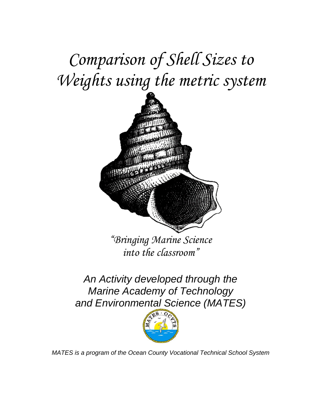*Comparison of Shell Sizes to Weights using the metric system* 



*"Bringing Marine Science into the classroom"* 

*An Activity developed through the Marine Academy of Technology and Environmental Science (MATES)* 



*MATES is a program of the Ocean County Vocational Technical School System*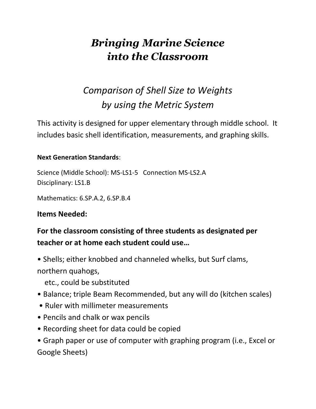# *Bringing Marine Science into the Classroom*

# *Comparison of Shell Size to Weights by using the Metric System*

This activity is designed for upper elementary through middle school. It includes basic shell identification, measurements, and graphing skills.

### **Next Generation Standards**:

Science (Middle School): MS-LS1-5 Connection MS-LS2.A Disciplinary: LS1.B

Mathematics: 6.SP.A.2, 6.SP.B.4

### **Items Needed:**

## **For the classroom consisting of three students as designated per teacher or at home each student could use…**

• Shells; either knobbed and channeled whelks, but Surf clams, northern quahogs,

etc., could be substituted

- Balance; triple Beam Recommended, but any will do (kitchen scales)
- Ruler with millimeter measurements
- Pencils and chalk or wax pencils
- Recording sheet for data could be copied

• Graph paper or use of computer with graphing program (i.e., Excel or Google Sheets)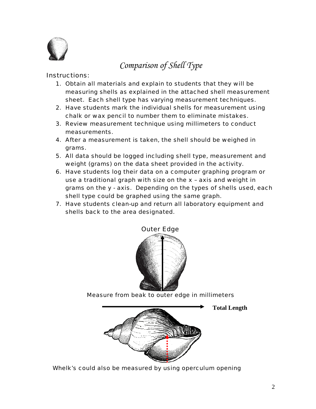

### *Comparison of Shell Type*

#### Instructions:

- 1. Obtain all materials and explain to students that they will be measuring shells as explained in the attached shell measurement sheet. Each shell type has varying measurement techniques.
- 2. Have students mark the individual shells for measurement using chalk or wax pencil to number them to eliminate mistakes.
- 3. Review measurement technique using millimeters to conduct measurements.
- 4. After a measurement is taken, the shell should be weighed in grams.
- 5. All data should be logged including shell type, measurement and weight (grams) on the data sheet provided in the activity.
- 6. Have students log their data on a computer graphing program or use a traditional graph with size on the x – axis and weight in grams on the y - axis. Depending on the types of shells used, each shell type could be graphed using the same graph.
- 7. Have students clean-up and return all laboratory equipment and shells back to the area designated.



Outer Edge

*Measure from beak to outer edge in millimeters*



*Whelk's could also be measured by using operculum opening* 

**Total Length**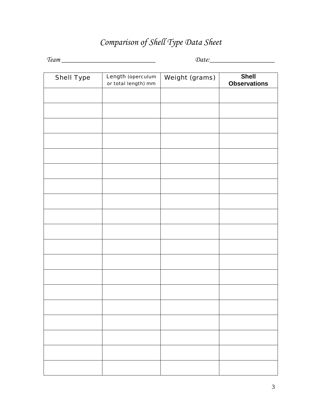## *Comparison of Shell Type Data Sheet*

*Team \_\_\_\_\_\_\_\_\_\_\_\_\_\_\_\_\_\_\_\_\_\_\_\_\_\_ Date:\_\_\_\_\_\_\_\_\_\_\_\_\_\_\_\_\_\_* 

| <b>Shell Type</b> | Length (operculum<br>or total length) mm | <b>Weight (grams)</b> | <b>Shell</b><br><b>Observations</b> |
|-------------------|------------------------------------------|-----------------------|-------------------------------------|
|                   |                                          |                       |                                     |
|                   |                                          |                       |                                     |
|                   |                                          |                       |                                     |
|                   |                                          |                       |                                     |
|                   |                                          |                       |                                     |
|                   |                                          |                       |                                     |
|                   |                                          |                       |                                     |
|                   |                                          |                       |                                     |
|                   |                                          |                       |                                     |
|                   |                                          |                       |                                     |
|                   |                                          |                       |                                     |
|                   |                                          |                       |                                     |
|                   |                                          |                       |                                     |
|                   |                                          |                       |                                     |
|                   |                                          |                       |                                     |
|                   |                                          |                       |                                     |
|                   |                                          |                       |                                     |
|                   |                                          |                       |                                     |
|                   |                                          |                       |                                     |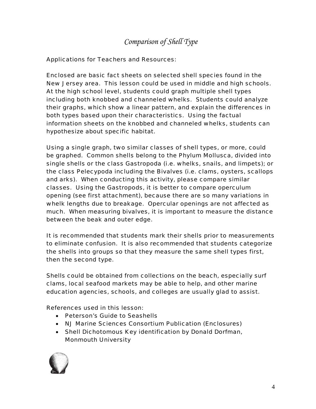### *Comparison of Shell Type*

#### *Applications for Teachers and Resources:*

Enclosed are basic fact sheets on selected shell species found in the New Jersey area. This lesson could be used in middle and high schools. At the high school level, students could graph multiple shell types including both knobbed and channeled whelks. Students could analyze their graphs, which show a linear pattern, and explain the differences in both types based upon their characteristics. Using the factual information sheets on the knobbed and channeled whelks, students can hypothesize about specific habitat.

Using a single graph, two similar classes of shell types, or more, could be graphed. Common shells belong to the Phylum Mollusca, divided into single shells or the class Gastropoda (i.e. whelks, snails, and limpets); or the class Pelecypoda including the Bivalves (i.e. clams, oysters, scallops and arks). When conducting this activity, please compare similar classes. Using the Gastropods, it is better to compare operculum opening (see first attachment), because there are so many variations in whelk lengths due to breakage. Opercular openings are not affected as much. When measuring bivalves, it is important to measure the distance between the beak and outer edge.

It is recommended that students mark their shells prior to measurements to eliminate confusion. It is also recommended that students categorize the shells into groups so that they measure the same shell types first, then the second type.

Shells could be obtained from collections on the beach, especially surf clams, local seafood markets may be able to help, and other marine education agencies, schools, and colleges are usually glad to assist.

#### *References used in this lesson:*

- *Peterson's Guide to Seashells*
- *NJ Marine Sciences Consortium Publication (Enclosures)*
- *Shell Dichotomous Key identification by Donald Dorfman, Monmouth University*

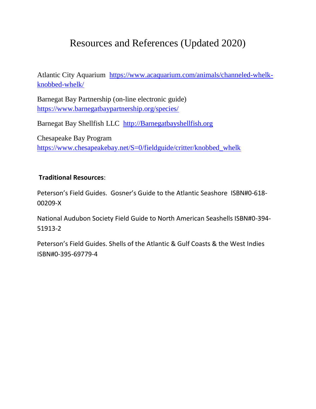## Resources and References (Updated 2020)

Atlantic City Aquarium [https://www.acaquarium.com/animals/channeled-whelk](https://www.acaquarium.com/animals/channeled-whelk-knobbed-whelk/)[knobbed-whelk/](https://www.acaquarium.com/animals/channeled-whelk-knobbed-whelk/)

Barnegat Bay Partnership (on-line electronic guide) <https://www.barnegatbaypartnership.org/species/>

Barnegat Bay Shellfish LLC [http://Barnegatbayshellfish.org](http://barnegatbayshellfish.org/)

Chesapeake Bay Program [https://www.chesapeakebay.net/S=0/fieldguide/critter/knobbed\\_whelk](https://www.chesapeakebay.net/S=0/fieldguide/critter/knobbed_whelk)

#### **Traditional Resources**:

Peterson's Field Guides. Gosner's Guide to the Atlantic Seashore ISBN#0-618- 00209-X

National Audubon Society Field Guide to North American Seashells ISBN#0-394- 51913-2

Peterson's Field Guides. Shells of the Atlantic & Gulf Coasts & the West Indies ISBN#0-395-69779-4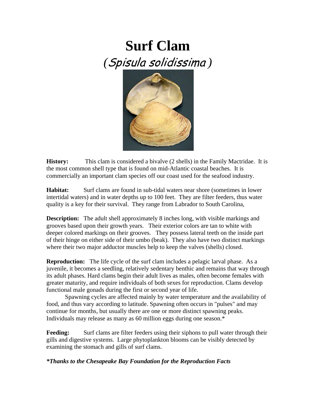# **Surf Clam**  *(*Spisula solidissima *)*



**History:** This clam is considered a bivalve (2 shells) in the Family Mactridae. It is the most common shell type that is found on mid-Atlantic coastal beaches. It is commercially an important clam species off our coast used for the seafood industry.

**Habitat:** Surf clams are found in sub-tidal waters near shore (sometimes in lower) intertidal waters) and in water depths up to 100 feet. They are filter feeders, thus water quality is a key for their survival. They range from Labrador to South Carolina,

**Description:** The adult shell approximately 8 inches long, with visible markings and grooves based upon their growth years. Their exterior colors are tan to white with deeper colored markings on their grooves. They possess lateral teeth on the inside part of their hinge on either side of their umbo (beak). They also have two distinct markings where their two major adductor muscles help to keep the valves (shells) closed.

**Reproduction:** The life cycle of the surf clam includes a pelagic larval phase. As a juvenile, it becomes a seedling, relatively sedentary benthic and remains that way through its adult phases. Hard clams begin their adult lives as males, often become females with greater maturity, and require individuals of both sexes for reproduction. Clams develop functional male gonads during the first or second year of life.

 Spawning cycles are affected mainly by water temperature and the availability of food, and thus vary according to latitude. Spawning often occurs in "pulses" and may continue for months, but usually there are one or more distinct spawning peaks. Individuals may release as many as 60 million eggs during one season.\*

**Feeding:** Surf clams are filter feeders using their siphons to pull water through their gills and digestive systems. Large phytoplankton blooms can be visibly detected by examining the stomach and gills of surf clams.

*\*Thanks to the Chesapeake Bay Foundation for the Reproduction Facts*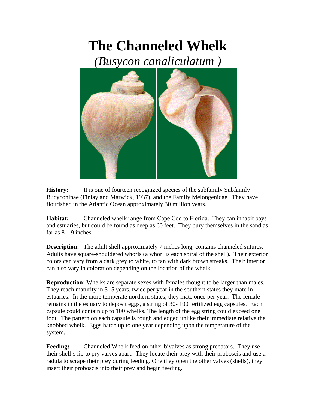# **The Channeled Whelk**

*(Busycon canaliculatum )* 



**History:** It is one of fourteen recognized species of the subfamily Subfamily Bucyconinae (Finlay and Marwick, 1937), and the Family Melongenidae. They have flourished in the Atlantic Ocean approximately 30 million years.

**Habitat:** Channeled whelk range from Cape Cod to Florida. They can inhabit bays and estuaries, but could be found as deep as 60 feet. They bury themselves in the sand as far as  $8 - 9$  inches.

**Description:** The adult shell approximately 7 inches long, contains channeled sutures. Adults have square-shouldered whorls (a whorl is each spiral of the shell). Their exterior colors can vary from a dark grey to white, to tan with dark brown streaks. Their interior can also vary in coloration depending on the location of the whelk.

**Reproduction:** Whelks are separate sexes with females thought to be larger than males. They reach maturity in 3 -5 years, twice per year in the southern states they mate in estuaries. In the more temperate northern states, they mate once per year. The female remains in the estuary to deposit eggs, a string of 30- 100 fertilized egg capsules. Each capsule could contain up to 100 whelks. The length of the egg string could exceed one foot. The pattern on each capsule is rough and edged unlike their immediate relative the knobbed whelk. Eggs hatch up to one year depending upon the temperature of the system.

**Feeding:** Channeled Whelk feed on other bivalves as strong predators. They use their shell's lip to pry valves apart. They locate their prey with their proboscis and use a radula to scrape their prey during feeding. One they open the other valves (shells), they insert their proboscis into their prey and begin feeding.